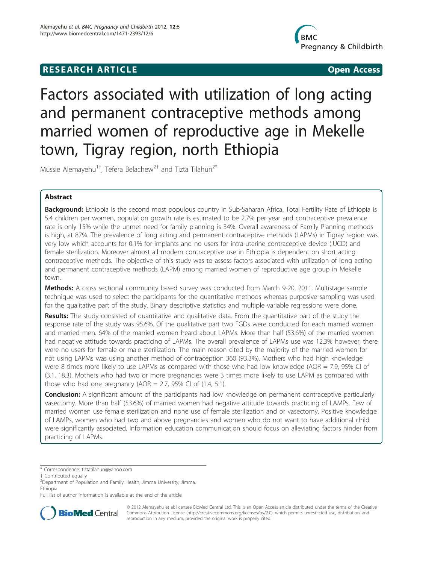# **RESEARCH ARTICLE Example 2018 12:00 Open Access**



# Factors associated with utilization of long acting and permanent contraceptive methods among married women of reproductive age in Mekelle town, Tigray region, north Ethiopia

Mussie Alemayehu<sup>1†</sup>, Tefera Belachew<sup>2†</sup> and Tizta Tilahun<sup>2\*</sup>

# Abstract

Background: Ethiopia is the second most populous country in Sub-Saharan Africa. Total Fertility Rate of Ethiopia is 5.4 children per women, population growth rate is estimated to be 2.7% per year and contraceptive prevalence rate is only 15% while the unmet need for family planning is 34%. Overall awareness of Family Planning methods is high, at 87%. The prevalence of long acting and permanent contraceptive methods (LAPMs) in Tigray region was very low which accounts for 0.1% for implants and no users for intra-uterine contraceptive device (IUCD) and female sterilization. Moreover almost all modern contraceptive use in Ethiopia is dependent on short acting contraceptive methods. The objective of this study was to assess factors associated with utilization of long acting and permanent contraceptive methods (LAPM) among married women of reproductive age group in Mekelle town.

Methods: A cross sectional community based survey was conducted from March 9-20, 2011. Multistage sample technique was used to select the participants for the quantitative methods whereas purposive sampling was used for the qualitative part of the study. Binary descriptive statistics and multiple variable regressions were done.

Results: The study consisted of quantitative and qualitative data. From the quantitative part of the study the response rate of the study was 95.6%. Of the qualitative part two FGDs were conducted for each married women and married men. 64% of the married women heard about LAPMs. More than half (53.6%) of the married women had negative attitude towards practicing of LAPMs. The overall prevalence of LAPMs use was 12.3% however; there were no users for female or male sterilization. The main reason cited by the majority of the married women for not using LAPMs was using another method of contraception 360 (93.3%). Mothers who had high knowledge were 8 times more likely to use LAPMs as compared with those who had low knowledge (AOR = 7.9, 95% CI of (3.1, 18.3). Mothers who had two or more pregnancies were 3 times more likely to use LAPM as compared with those who had one pregnancy (AOR =  $2.7$ , 95% CI of (1.4, 5.1).

**Conclusion:** A significant amount of the participants had low knowledge on permanent contraceptive particularly vasectomy. More than half (53.6%) of married women had negative attitude towards practicing of LAMPs. Few of married women use female sterilization and none use of female sterilization and or vasectomy. Positive knowledge of LAMPs, women who had two and above pregnancies and women who do not want to have additional child were significantly associated. Information education communication should focus on alleviating factors hinder from practicing of LAPMs.

† Contributed equally <sup>2</sup>

Full list of author information is available at the end of the article



© 2012 Alemayehu et al; licensee BioMed Central Ltd. This is an Open Access article distributed under the terms of the Creative Commons Attribution License [\(http://creativecommons.org/licenses/by/2.0](http://creativecommons.org/licenses/by/2.0)), which permits unrestricted use, distribution, and reproduction in any medium, provided the original work is properly cited.

<sup>\*</sup> Correspondence: [tiztatilahun@yahoo.com](mailto:tiztatilahun@yahoo.com)

<sup>&</sup>lt;sup>2</sup>Department of Population and Family Health, Jimma University, Jimma, Ethiopia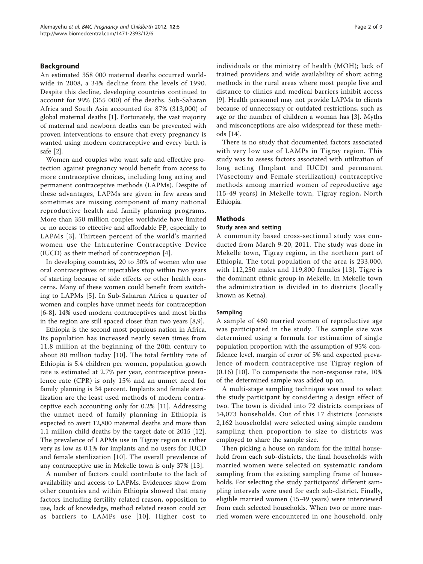# **Background**

An estimated 358 000 maternal deaths occurred worldwide in 2008, a 34% decline from the levels of 1990. Despite this decline, developing countries continued to account for 99% (355 000) of the deaths. Sub-Saharan Africa and South Asia accounted for 87% (313,000) of global maternal deaths [\[1](#page-7-0)]. Fortunately, the vast majority of maternal and newborn deaths can be prevented with proven interventions to ensure that every pregnancy is wanted using modern contraceptive and every birth is safe [\[2](#page-7-0)].

Women and couples who want safe and effective protection against pregnancy would benefit from access to more contraceptive choices, including long acting and permanent contraceptive methods (LAPMs). Despite of these advantages, LAPMs are given in few areas and sometimes are missing component of many national reproductive health and family planning programs. More than 350 million couples worldwide have limited or no access to effective and affordable FP, especially to LAPMs [[3\]](#page-7-0). Thirteen percent of the world's married women use the Intrauterine Contraceptive Device (IUCD) as their method of contraception [\[4](#page-7-0)].

In developing countries, 20 to 30% of women who use oral contraceptives or injectables stop within two years of starting because of side effects or other health concerns. Many of these women could benefit from switching to LAPMs [[5\]](#page-7-0). In Sub-Saharan Africa a quarter of women and couples have unmet needs for contraception [[6-8\]](#page-7-0), 14% used modern contraceptives and most births in the region are still spaced closer than two years [[8,9\]](#page-7-0).

Ethiopia is the second most populous nation in Africa. Its population has increased nearly seven times from 11.8 million at the beginning of the 20th century to about 80 million today [[10\]](#page-7-0). The total fertility rate of Ethiopia is 5.4 children per women, population growth rate is estimated at 2.7% per year, contraceptive prevalence rate (CPR) is only 15% and an unmet need for family planning is 34 percent. Implants and female sterilization are the least used methods of modern contraceptive each accounting only for 0.2% [[11\]](#page-8-0). Addressing the unmet need of family planning in Ethiopia is expected to avert 12,800 maternal deaths and more than 1.1 million child deaths by the target date of 2015 [\[12](#page-8-0)]. The prevalence of LAPMs use in Tigray region is rather very as low as 0.1% for implants and no users for IUCD and female sterilization [\[10](#page-7-0)]. The overall prevalence of any contraceptive use in Mekelle town is only 37% [[13\]](#page-8-0).

A number of factors could contribute to the lack of availability and access to LAPMs. Evidences show from other countries and within Ethiopia showed that many factors including fertility related reason, opposition to use, lack of knowledge, method related reason could act as barriers to LAMPs use [[10](#page-7-0)]. Higher cost to individuals or the ministry of health (MOH); lack of trained providers and wide availability of short acting methods in the rural areas where most people live and distance to clinics and medical barriers inhibit access [[9\]](#page-7-0). Health personnel may not provide LAPMs to clients because of unnecessary or outdated restrictions, such as age or the number of children a woman has [[3](#page-7-0)]. Myths and misconceptions are also widespread for these methods [\[14\]](#page-8-0).

There is no study that documented factors associated with very low use of LAMPs in Tigray region. This study was to assess factors associated with utilization of long acting (Implant and IUCD) and permanent (Vasectomy and Female sterilization) contraceptive methods among married women of reproductive age (15-49 years) in Mekelle town, Tigray region, North Ethiopia.

# **Methods**

### Study area and setting

A community based cross-sectional study was conducted from March 9-20, 2011. The study was done in Mekelle town, Tigray region, in the northern part of Ethiopia. The total population of the area is 233,000, with 112,250 males and 119,800 females [[13](#page-8-0)]. Tigre is the dominant ethnic group in Mekelle. In Mekelle town the administration is divided in to districts (locally known as Ketna).

#### Sampling

A sample of 460 married women of reproductive age was participated in the study. The sample size was determined using a formula for estimation of single population proportion with the assumption of 95% confidence level, margin of error of 5% and expected prevalence of modern contraceptive use Tigray region of (0.16) [\[10](#page-7-0)]. To compensate the non-response rate, 10% of the determined sample was added up on.

A multi-stage sampling technique was used to select the study participant by considering a design effect of two. The town is divided into 72 districts comprises of 54,073 households. Out of this 17 districts (consists 2,162 households) were selected using simple random sampling then proportion to size to districts was employed to share the sample size.

Then picking a house on random for the initial household from each sub-districts, the final households with married women were selected on systematic random sampling from the existing sampling frame of households. For selecting the study participants' different sampling intervals were used for each sub-district. Finally, eligible married women (15-49 years) were interviewed from each selected households. When two or more married women were encountered in one household, only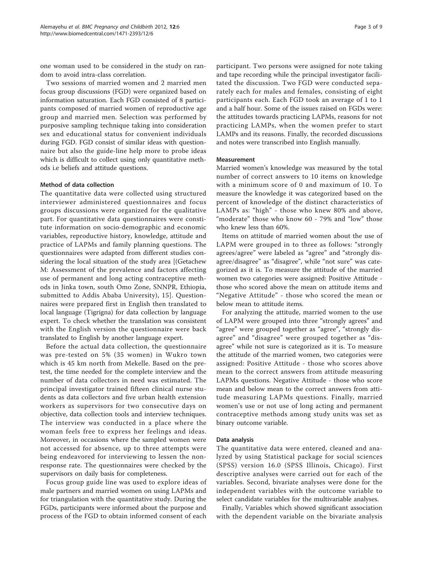one woman used to be considered in the study on random to avoid intra-class correlation.

Two sessions of married women and 2 married men focus group discussions (FGD) were organized based on information saturation. Each FGD consisted of 8 participants composed of married women of reproductive age group and married men. Selection was performed by purposive sampling technique taking into consideration sex and educational status for convenient individuals during FGD. FGD consist of similar ideas with questionnaire but also the guide-line help more to probe ideas which is difficult to collect using only quantitative methods i.e beliefs and attitude questions.

### Method of data collection

The quantitative data were collected using structured interviewer administered questionnaires and focus groups discussions were organized for the qualitative part. For quantitative data questionnaires were constitute information on socio-demographic and economic variables, reproductive history, knowledge, attitude and practice of LAPMs and family planning questions. The questionnaires were adapted from different studies considering the local situation of the study area [(Getachew M: Assessment of the prevalence and factors affecting use of permanent and long acting contraceptive methods in Jinka town, south Omo Zone, SNNPR, Ethiopia, submitted to Addis Ababa University), 15]. Questionnaires were prepared first in English then translated to local language (Tigrigna) for data collection by language expert. To check whether the translation was consistent with the English version the questionnaire were back translated to English by another language expert.

Before the actual data collection, the questionnaire was pre-tested on 5% (35 women) in Wukro town which is 45 km north from Mekelle. Based on the pretest, the time needed for the complete interview and the number of data collectors in need was estimated. The principal investigator trained fifteen clinical nurse students as data collectors and five urban health extension workers as supervisors for two consecutive days on objective, data collection tools and interview techniques. The interview was conducted in a place where the woman feels free to express her feelings and ideas. Moreover, in occasions where the sampled women were not accessed for absence, up to three attempts were being endeavored for interviewing to lessen the nonresponse rate. The questionnaires were checked by the supervisors on daily basis for completeness.

Focus group guide line was used to explore ideas of male partners and married women on using LAPMs and for triangulation with the quantitative study. During the FGDs, participants were informed about the purpose and process of the FGD to obtain informed consent of each

participant. Two persons were assigned for note taking and tape recording while the principal investigator facilitated the discussion. Two FGD were conducted separately each for males and females, consisting of eight participants each. Each FGD took an average of 1 to 1 and a half hour. Some of the issues raised on FGDs were: the attitudes towards practicing LAPMs, reasons for not practicing LAMPs, when the women prefer to start LAMPs and its reasons. Finally, the recorded discussions and notes were transcribed into English manually.

### Measurement

Married women's knowledge was measured by the total number of correct answers to 10 items on knowledge with a minimum score of 0 and maximum of 10. To measure the knowledge it was categorized based on the percent of knowledge of the distinct characteristics of LAMPs as: "high" - those who knew 80% and above, "moderate" those who know 60 - 79% and "low" those who knew less than 60%.

Items on attitude of married women about the use of LAPM were grouped in to three as follows: "strongly agrees/agree" were labeled as "agree" and "strongly disagree/disagree" as "disagree", while "not sure" was categorized as it is. To measure the attitude of the married women two categories were assigned: Positive Attitude those who scored above the mean on attitude items and "Negative Attitude" - those who scored the mean or below mean to attitude items.

For analyzing the attitude, married women to the use of LAPM were grouped into three "strongly agrees" and "agree" were grouped together as "agree", "strongly disagree" and "disagree" were grouped together as "disagree" while not sure is categorized as it is. To measure the attitude of the married women, two categories were assigned: Positive Attitude - those who scores above mean to the correct answers from attitude measuring LAPMs questions. Negative Attitude - those who score mean and below mean to the correct answers from attitude measuring LAPMs questions. Finally, married women's use or not use of long acting and permanent contraceptive methods among study units was set as binary outcome variable.

#### Data analysis

The quantitative data were entered, cleaned and analyzed by using Statistical package for social sciences (SPSS) version 16.0 (SPSS Illinois, Chicago). First descriptive analyses were carried out for each of the variables. Second, bivariate analyses were done for the independent variables with the outcome variable to select candidate variables for the multivariable analyses.

Finally, Variables which showed significant association with the dependent variable on the bivariate analysis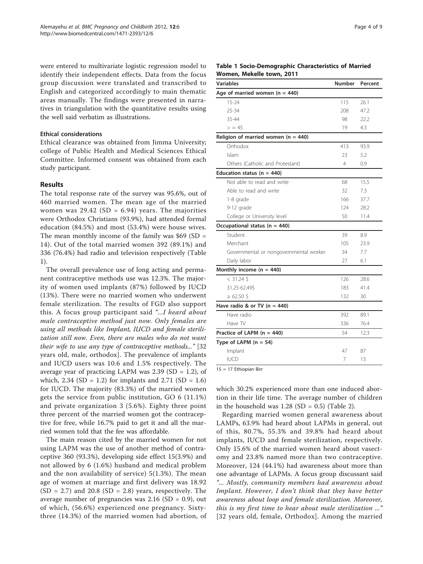were entered to multivariate logistic regression model to identify their independent effects. Data from the focus group discussion were translated and transcribed to English and categorized accordingly to main thematic areas manually. The findings were presented in narratives in triangulation with the quantitative results using the well said verbatim as illustrations.

# Ethical considerations

Ethical clearance was obtained from Jimma University; college of Public Health and Medical Sciences Ethical Committee. Informed consent was obtained from each study participant.

# Results

The total response rate of the survey was 95.6%, out of 460 married women. The mean age of the married women was  $29.42$  (SD = 6.94) years. The majorities were Orthodox Christians (93.9%), had attended formal education (84.5%) and most (53.4%) were house wives. The mean monthly income of the family was  $$69$  (SD = 14). Out of the total married women 392 (89.1%) and 336 (76.4%) had radio and television respectively (Table 1).

The overall prevalence use of long acting and permanent contraceptive methods use was 12.3%. The majority of women used implants (87%) followed by IUCD (13%). There were no married women who underwent female sterilization. The results of FGD also support this. A focus group participant said "...I heard about male contraceptive method just now. Only females are using all methods like Implant, IUCD and female sterilization still now. Even, there are males who do not want their wife to use any type of contraceptive methods..." [32 years old, male, orthodox]. The prevalence of implants and IUCD users was 10.6 and 1.5% respectively. The average year of practicing LAPM was  $2.39$  (SD = 1.2), of which, 2.34 (SD = 1.2) for implants and 2.71 (SD = 1.6) for IUCD. The majority (83.3%) of the married women gets the service from public institution, GO 6 (11.1%) and private organization 3 (5.6%). Eighty three point three percent of the married women got the contraceptive for free, while 16.7% paid to get it and all the married women told that the fee was affordable.

The main reason cited by the married women for not using LAPM was the use of another method of contraceptive 360 (93.3%), developing side effect 15(3.9%) and not allowed by 6 (1.6%) husband and medical problem and the non availability of service) 5(1.3%). The mean age of women at marriage and first delivery was 18.92  $(SD = 2.7)$  and 20.8  $(SD = 2.8)$  years, respectively. The average number of pregnancies was  $2.16$  (SD = 0.9), out of which, (56.6%) experienced one pregnancy. Sixtythree (14.3%) of the married women had abortion, of

# Table 1 Socio-Demographic Characteristics of Married Women, Mekelle town, 2011

| Variables                               | <b>Number</b>  | Percent |
|-----------------------------------------|----------------|---------|
| Age of married women ( $n = 440$ )      |                |         |
| $15 - 24$                               | 115            | 26.1    |
| $25 - 34$                               | 208            | 47.2    |
| 35-44                                   | 98             | 22.2    |
| > 45                                    | 19             | 4.3     |
| Religion of married women ( $n = 440$ ) |                |         |
| Orthodox                                | 413            | 93.9    |
| Islam                                   | 23             | 5.2     |
| Others (Catholic and Protestant)        | $\overline{4}$ | 0.9     |
| Education status ( $n = 440$ )          |                |         |
| Not able to read and write              | 68             | 15.5    |
| Able to read and write                  | 32             | 7.3     |
| 1-8 grade                               | 166            | 37.7    |
| 9-12 grade                              | 124            | 28.2    |
| College or University level             | 50             | 11.4    |
| Occupational status ( $n = 440$ )       |                |         |
| Student                                 | 39             | 8.9     |
| Merchant                                | 105            | 23.9    |
| Governmental or nongovernmental worker  | 34             | 7.7     |
| Daily labor                             | 27             | 6.1     |
| Monthly income ( $n = 440$ )            |                |         |
| $< 31.24$ \$                            | 126            | 28.6    |
| 31.25-62.49\$                           | 183            | 41.4    |
| $\geq 62.50$ \$                         | 132            | 30      |
| Have radio & or TV ( $n = 440$ )        |                |         |
| Have radio                              | 392            | 89.1    |
| Have TV                                 | 336            | 76.4    |
| Practice of LAPM ( $n = 440$ )          | 54             | 12.3    |
| Type of LAPM $(n = 54)$                 |                |         |
| Implant                                 | 47             | 87      |
| <b>IUCD</b>                             | 7              | 13      |

 $1\$  = 17 Ethiopian Birr

which 30.2% experienced more than one induced abortion in their life time. The average number of children in the household was  $1.28$  (SD = 0.5) (Table [2](#page-4-0)).

Regarding married women general awareness about LAMPs, 63.9% had heard about LAPMs in general, out of this, 80.7%, 55.3% and 39.8% had heard about implants, IUCD and female sterilization, respectively. Only 15.6% of the married women heard about vasectomy and 23.8% named more than two contraceptive. Moreover, 124 (44.1%) had awareness about more than one advantage of LAPMs. A focus group discussant said "... Mostly, community members had awareness about Implant. However, I don't think that they have better awareness about loop and female sterilization. Moreover, this is my first time to hear about male sterilization ..." [32 years old, female, Orthodox]. Among the married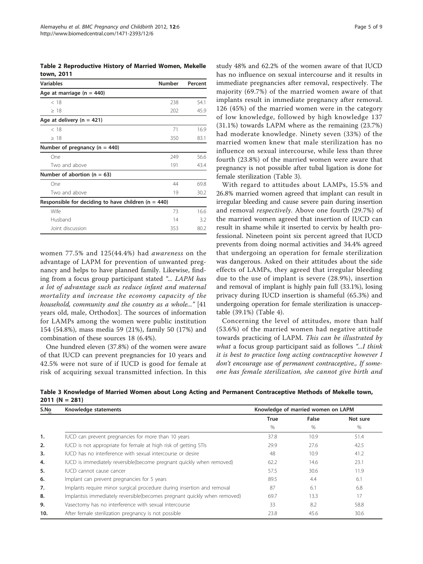<span id="page-4-0"></span>Table 2 Reproductive History of Married Women, Mekelle town, 2011

| <b>Variables</b>                                        | Number | Percent |
|---------------------------------------------------------|--------|---------|
| Age at marriage $(n = 440)$                             |        |         |
| < 18                                                    | 238    | 54.1    |
| $\geq 18$                                               | 202    | 45.9    |
| Age at delivery ( $n = 421$ )                           |        |         |
| < 18                                                    | 71     | 16.9    |
| >18                                                     | 350    | 83.1    |
| Number of pregnancy ( $n = 440$ )                       |        |         |
| One                                                     | 249    | 56.6    |
| Two and above                                           | 191    | 43.4    |
| Number of abortion ( $n = 63$ )                         |        |         |
| One                                                     | 44     | 69.8    |
| Two and above                                           | 19     | 30.2    |
| Responsible for deciding to have children ( $n = 440$ ) |        |         |
| Wife                                                    | 73     | 16.6    |
| Husband                                                 | 14     | 3.2     |
| Joint discussion                                        | 353    | 80.2    |

women 77.5% and 125(44.4%) had awareness on the advantage of LAPM for prevention of unwanted pregnancy and helps to have planned family. Likewise, finding from a focus group participant stated "... LAPM has a lot of advantage such as reduce infant and maternal mortality and increase the economy capacity of the household, community and the country as a whole..." [41] years old, male, Orthodox]. The sources of information for LAMPs among the women were public institution 154 (54.8%), mass media 59 (21%), family 50 (17%) and combination of these sources 18 (6.4%).

One hundred eleven (37.8%) of the women were aware of that IUCD can prevent pregnancies for 10 years and 42.5% were not sure of if IUCD is good for female at risk of acquiring sexual transmitted infection. In this

study 48% and 62.2% of the women aware of that IUCD has no influence on sexual intercourse and it results in immediate pregnancies after removal, respectively. The majority (69.7%) of the married women aware of that implants result in immediate pregnancy after removal. 126 (45%) of the married women were in the category of low knowledge, followed by high knowledge 137 (31.1%) towards LAPM where as the remaining (23.7%) had moderate knowledge. Ninety seven (33%) of the married women knew that male sterilization has no influence on sexual intercourse, while less than three fourth (23.8%) of the married women were aware that pregnancy is not possible after tubal ligation is done for female sterilization (Table 3).

With regard to attitudes about LAMPs, 15.5% and 26.8% married women agreed that implant can result in irregular bleeding and cause severe pain during insertion and removal respectively. Above one fourth (29.7%) of the married women agreed that insertion of IUCD can result in shame while it inserted to cervix by health professional. Nineteen point six percent agreed that IUCD prevents from doing normal activities and 34.4% agreed that undergoing an operation for female sterilization was dangerous. Asked on their attitudes about the side effects of LAMPs, they agreed that irregular bleeding due to the use of implant is severe (28.9%), insertion and removal of implant is highly pain full (33.1%), losing privacy during IUCD insertion is shameful (65.3%) and undergoing operation for female sterilization is unacceptable (39.1%) (Table [4\)](#page-5-0).

Concerning the level of attitudes, more than half (53.6%) of the married women had negative attitude towards practicing of LAPM. This can be illustrated by what a focus group participant said as follows "...I think it is best to practice long acting contraceptive however I don't encourage use of permanent contraceptive., If someone has female sterilization, she cannot give birth and

Table 3 Knowledge of Married Women about Long Acting and Permanent Contraceptive Methods of Mekelle town, 2011 (N = 281)

| S.No | Knowledge statements                                                     | Knowledge of married women on LAPM |       |          |  |
|------|--------------------------------------------------------------------------|------------------------------------|-------|----------|--|
|      |                                                                          | <b>True</b>                        | False | Not sure |  |
|      |                                                                          | $\%$                               | %     | %        |  |
| 1.   | IUCD can prevent pregnancies for more than 10 years                      | 37.8                               | 10.9  | 51.4     |  |
| 2.   | IUCD is not appropriate for female at high risk of getting STIs          | 29.9                               | 27.6  | 42.5     |  |
| 3.   | IUCD has no interference with sexual intercourse or desire               | 48                                 | 10.9  | 41.2     |  |
| 4.   | IUCD is immediately reversible(become pregnant quickly when removed)     | 62.2                               | 14.6  | 23.1     |  |
| 5.   | IUCD cannot cause cancer                                                 | 57.5                               | 30.6  | 11.9     |  |
| 6.   | Implant can prevent pregnancies for 5 years                              | 89.5                               | 4.4   | 6.1      |  |
| 7.   | Implants require minor surgical procedure during insertion and removal   | 87                                 | 6.1   | 6.8      |  |
| 8.   | Implantsis immediately reversible(becomes pregnant quickly when removed) | 69.7                               | 13.3  | 17       |  |
| 9.   | Vasectomy has no interference with sexual intercourse                    | 33                                 | 8.2   | 58.8     |  |
| 10.  | After female sterilization pregnancy is not possible                     | 23.8                               | 45.6  | 30.6     |  |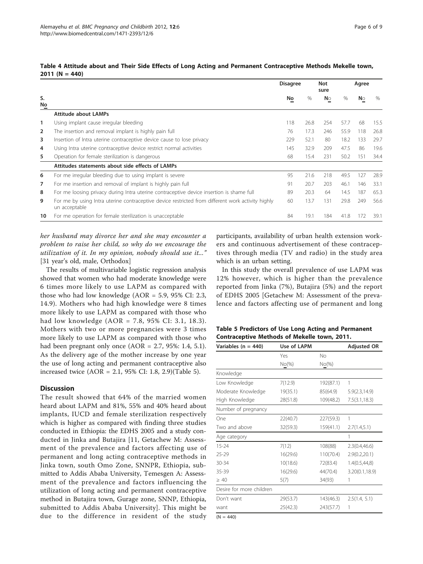|                        |                                                                                                                    | <b>Disagree</b> | <b>Not</b> |     | sure |     | Agree |
|------------------------|--------------------------------------------------------------------------------------------------------------------|-----------------|------------|-----|------|-----|-------|
| S.<br>$N\underline{o}$ |                                                                                                                    | No              | %          | No. | %    | No. | $\%$  |
|                        | Attitude about LAMPs                                                                                               |                 |            |     |      |     |       |
| 1                      | Using implant cause irregular bleeding                                                                             | 118             | 26.8       | 254 | 57.7 | 68  | 15.5  |
| $\overline{2}$         | The insertion and removal implant is highly pain full                                                              | 76              | 17.3       | 246 | 55.9 | 118 | 26.8  |
| 3                      | Insertion of Intra uterine contraceptive device cause to lose privacy                                              | 229             | 52.1       | 80  | 18.2 | 133 | 29.7  |
| 4                      | Using Intra uterine contraceptive device restrict normal activities                                                | 145             | 32.9       | 209 | 47.5 | 86  | 19.6  |
| 5                      | Operation for female sterilization is dangerous                                                                    | 68              | 15.4       | 231 | 50.2 | 151 | 34.4  |
|                        | Attitudes statements about side effects of LAMPs                                                                   |                 |            |     |      |     |       |
| 6                      | For me irregular bleeding due to using implant is severe                                                           | 95              | 21.6       | 218 | 49.5 | 127 | 28.9  |
| $\overline{7}$         | For me insertion and removal of implant is highly pain full                                                        | 91              | 20.7       | 203 | 46.1 | 146 | 33.1  |
| 8                      | For me loosing privacy during Intra uterine contraceptive device insertion is shame full                           | 89              | 20.3       | 64  | 14.5 | 187 | 65.3  |
| 9                      | For me by using Intra uterine contraceptive device restricted from different work activity highly<br>un acceptable | 60              | 13.7       | 131 | 29.8 | 249 | 56.6  |
| 10                     | For me operation for female sterilization is unacceptable                                                          | 84              | 19.1       | 184 | 41.8 | 72  | 39.1  |

<span id="page-5-0"></span>Table 4 Attitude about and Their Side Effects of Long Acting and Permanent Contraceptive Methods Mekelle town,  $2011 (N = 440)$ 

her husband may divorce her and she may encounter a problem to raise her child, so why do we encourage the utilization of it. In my opinion, nobody should use it..." [31 year's old, male, Orthodox]

The results of multivariable logistic regression analysis showed that women who had moderate knowledge were 6 times more likely to use LAPM as compared with those who had low knowledge (AOR = 5.9, 95% CI: 2.3, 14.9). Mothers who had high knowledge were 8 times more likely to use LAPM as compared with those who had low knowledge (AOR = 7.8, 95% CI: 3.1, 18.3). Mothers with two or more pregnancies were 3 times more likely to use LAPM as compared with those who had been pregnant only once  $(AOR = 2.7, 95\% : 1.4, 5.1)$ . As the delivery age of the mother increase by one year the use of long acting and permanent contraceptive also increased twice (AOR = 2.1, 95% CI: 1.8, 2.9)(Table 5).

# **Discussion**

The result showed that 64% of the married women heard about LAPM and 81%, 55% and 40% heard about implants, IUCD and female sterilization respectively which is higher as compared with finding three studies conducted in Ethiopia: the EDHS 2005 and a study conducted in Jinka and Butajira [11, Getachew M: Assessment of the prevalence and factors affecting use of permanent and long acting contraceptive methods in Jinka town, south Omo Zone, SNNPR, Ethiopia, submitted to Addis Ababa University, Temesgen A: Assessment of the prevalence and factors influencing the utilization of long acting and permanent contraceptive method in Butajira town, Gurage zone, SNNP, Ethiopia, submitted to Addis Ababa University]. This might be due to the difference in resident of the study

participants, availability of urban health extension workers and continuous advertisement of these contraceptives through media (TV and radio) in the study area which is an urban setting.

In this study the overall prevalence of use LAPM was 12% however, which is higher than the prevalence reported from Jinka (7%), Butajira (5%) and the report of EDHS 2005 [Getachew M: Assessment of the prevalence and factors affecting use of permanent and long

| Table 5 Predictors of Use Long Acting and Permanent |  |
|-----------------------------------------------------|--|
| <b>Contraceptive Methods of Mekelle town, 2011.</b> |  |

| Variables ( $n = 440$ )  | Use of LAPM |           | <b>Adjusted OR</b> |
|--------------------------|-------------|-----------|--------------------|
|                          | Yes         | No        |                    |
|                          | $No(\%)$    | $No(\%)$  |                    |
| Knowledge                |             |           |                    |
| Low Knowledge            | 7(12.9)     | 192(87.1) | 1                  |
| Moderate Knowledge       | 19(35.1)    | 85(64.9)  | 5.9(2.3, 14.9)     |
| High Knowledge           | 28(51.8)    | 109(48.2) | 7.5(3.1, 18.3)     |
| Number of pregnancy      |             |           |                    |
| One                      | 22(40.7)    | 227(59.3) | 1                  |
| Two and above            | 32(59.3)    | 159(41.1) | 2.7(1.4,5.1)       |
| Age category             |             |           | 1                  |
| $15 - 24$                | 7(12)       | 108(88)   | 2.3(0.4,46.6)      |
| $25 - 29$                | 16(29.6)    | 110(70.4) | 2.9(0.2, 20.1)     |
| 30-34                    | 10(18.6)    | 72(83.4)  | 1.4(0.5, 44, 8)    |
| 35-39                    | 16(29.6)    | 44(70.4)  | 3.20(0.1, 18.9)    |
| > 40                     | 5(7)        | 34(93)    | 1                  |
| Desire for more children |             |           |                    |
| Don't want               | 29(53.7)    | 143(46.3) | 2.5(1.4, 5.1)      |
| want                     | 25(42.3)    | 243(57.7) | 1                  |
| $(N = 440)$              |             |           |                    |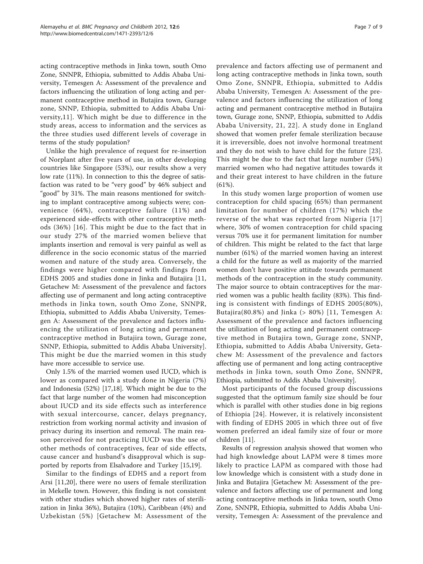acting contraceptive methods in Jinka town, south Omo Zone, SNNPR, Ethiopia, submitted to Addis Ababa University, Temesgen A: Assessment of the prevalence and factors influencing the utilization of long acting and permanent contraceptive method in Butajira town, Gurage zone, SNNP, Ethiopia, submitted to Addis Ababa University,11]. Which might be due to difference in the study areas, access to information and the services as the three studies used different levels of coverage in terms of the study population?

Unlike the high prevalence of request for re-insertion of Norplant after five years of use, in other developing countries like Singapore (53%), our results show a very low rate (11%). In connection to this the degree of satisfaction was rated to be "very good" by 46% subject and "good" by 31%. The main reasons mentioned for switching to implant contraceptive among subjects were; convenience (64%), contraceptive failure (11%) and experienced side-effects with other contraceptive methods (36%) [[16](#page-8-0)]. This might be due to the fact that in our study 27% of the married women believe that implants insertion and removal is very painful as well as difference in the socio economic status of the married women and nature of the study area. Conversely, the findings were higher compared with findings from EDHS 2005 and studies done in Jinka and Butajira [11, Getachew M: Assessment of the prevalence and factors affecting use of permanent and long acting contraceptive methods in Jinka town, south Omo Zone, SNNPR, Ethiopia, submitted to Addis Ababa University, Temesgen A: Assessment of the prevalence and factors influencing the utilization of long acting and permanent contraceptive method in Butajira town, Gurage zone, SNNP, Ethiopia, submitted to Addis Ababa University]. This might be due the married women in this study have more accessible to service use.

Only 1.5% of the married women used IUCD, which is lower as compared with a study done in Nigeria (7%) and Indonesia (52%) [\[17,18\]](#page-8-0). Which might be due to the fact that large number of the women had misconception about IUCD and its side effects such as interference with sexual intercourse, cancer, delays pregnancy, restriction from working normal activity and invasion of privacy during its insertion and removal. The main reason perceived for not practicing IUCD was the use of other methods of contraceptives, fear of side effects, cause cancer and husband's disapproval which is supported by reports from Elsalvadore and Turkey [\[15,19\]](#page-8-0).

Similar to the findings of EDHS and a report from Arsi [[11,20](#page-8-0)], there were no users of female sterilization in Mekelle town. However, this finding is not consistent with other studies which showed higher rates of sterilization in Jinka 36%), Butajira (10%), Caribbean (4%) and Uzbekistan (5%) [Getachew M: Assessment of the

prevalence and factors affecting use of permanent and long acting contraceptive methods in Jinka town, south Omo Zone, SNNPR, Ethiopia, submitted to Addis Ababa University, Temesgen A: Assessment of the prevalence and factors influencing the utilization of long acting and permanent contraceptive method in Butajira town, Gurage zone, SNNP, Ethiopia, submitted to Addis Ababa University, 21, 22]. A study done in England showed that women prefer female sterilization because it is irreversible, does not involve hormonal treatment and they do not wish to have child for the future [[23](#page-8-0)]. This might be due to the fact that large number (54%) married women who had negative attitudes towards it and their great interest to have children in the future (61%).

In this study women large proportion of women use contraception for child spacing (65%) than permanent limitation for number of children (17%) which the reverse of the what was reported from Nigeria [[17](#page-8-0)] where, 30% of women contraception for child spacing versus 70% use it for permanent limitation for number of children. This might be related to the fact that large number (61%) of the married women having an interest a child for the future as well as majority of the married women don't have positive attitude towards permanent methods of the contraception in the study community. The major source to obtain contraceptives for the married women was a public health facility (83%). This finding is consistent with findings of EDHS 2005(80%), Butajira(80.8%) and Jinka (> 80%) [11, Temesgen A: Assessment of the prevalence and factors influencing the utilization of long acting and permanent contraceptive method in Butajira town, Gurage zone, SNNP, Ethiopia, submitted to Addis Ababa University, Getachew M: Assessment of the prevalence and factors affecting use of permanent and long acting contraceptive methods in Jinka town, south Omo Zone, SNNPR, Ethiopia, submitted to Addis Ababa University].

Most participants of the focused group discussions suggested that the optimum family size should be four which is parallel with other studies done in big regions of Ethiopia [[24\]](#page-8-0). However, it is relatively inconsistent with finding of EDHS 2005 in which three out of five women preferred an ideal family size of four or more children [\[11](#page-8-0)].

Results of regression analysis showed that women who had high knowledge about LAPM were 8 times more likely to practice LAPM as compared with those had low knowledge which is consistent with a study done in Jinka and Butajira [Getachew M: Assessment of the prevalence and factors affecting use of permanent and long acting contraceptive methods in Jinka town, south Omo Zone, SNNPR, Ethiopia, submitted to Addis Ababa University, Temesgen A: Assessment of the prevalence and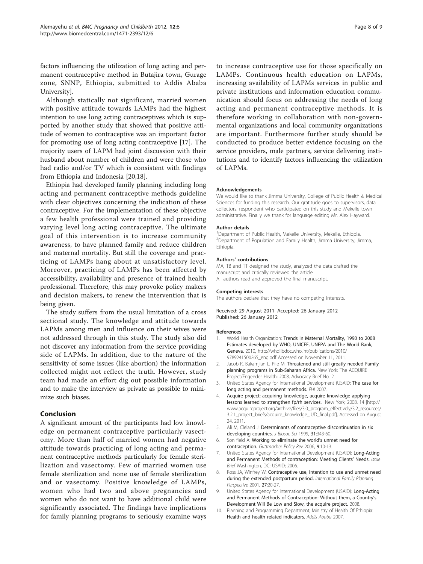<span id="page-7-0"></span>factors influencing the utilization of long acting and permanent contraceptive method in Butajira town, Gurage zone, SNNP, Ethiopia, submitted to Addis Ababa University].

Although statically not significant, married women with positive attitude towards LAMPs had the highest intention to use long acting contraceptives which is supported by another study that showed that positive attitude of women to contraceptive was an important factor for promoting use of long acting contraceptive [[17\]](#page-8-0). The majority users of LAPM had joint discussion with their husband about number of children and were those who had radio and/or TV which is consistent with findings from Ethiopia and Indonesia [[20,18](#page-8-0)].

Ethiopia had developed family planning including long acting and permanent contraceptive methods guideline with clear objectives concerning the indication of these contraceptive. For the implementation of these objective a few health professional were trained and providing varying level long acting contraceptive. The ultimate goal of this intervention is to increase community awareness, to have planned family and reduce children and maternal mortality. But still the coverage and practicing of LAMPs hang about at unsatisfactory level. Moreover, practicing of LAMPs has been affected by accessibility, availability and presence of trained health professional. Therefore, this may provoke policy makers and decision makers, to renew the intervention that is being given.

The study suffers from the usual limitation of a cross sectional study. The knowledge and attitude towards LAPMs among men and influence on their wives were not addressed through in this study. The study also did not discover any information from the service providing side of LAPMs. In addition, due to the nature of the sensitivity of some issues (like abortion) the information collected might not reflect the truth. However, study team had made an effort dig out possible information and to make the interview as private as possible to minimize such biases.

# Conclusion

A significant amount of the participants had low knowledge on permanent contraceptive particularly vasectomy. More than half of married women had negative attitude towards practicing of long acting and permanent contraceptive methods particularly for female sterilization and vasectomy. Few of married women use female sterilization and none use of female sterilization and or vasectomy. Positive knowledge of LAMPs, women who had two and above pregnancies and women who do not want to have additional child were significantly associated. The findings have implications for family planning programs to seriously examine ways

to increase contraceptive use for those specifically on LAMPs. Continuous health education on LAPMs, increasing availability of LAPMs services in public and private institutions and information education communication should focus on addressing the needs of long acting and permanent contraceptive methods. It is therefore working in collaboration with non-governmental organizations and local community organizations are important. Furthermore further study should be conducted to produce better evidence focusing on the service providers, male partners, service delivering institutions and to identify factors influencing the utilization of LAPMs.

#### Acknowledgements

We would like to thank Jimma University, College of Public Health & Medical Sciences for funding this research. Our gratitude goes to supervisors, data collectors, respondent who participated on this study and Mekelle town administrative. Finally we thank for language editing Mr. Alex Hayward.

#### Author details

<sup>1</sup> Department of Public Health, Mekelle University, Mekelle, Ethiopia <sup>2</sup>Department of Population and Family Health, Jimma University, Jimma Ethiopia.

#### Authors' contributions

MA, TB and TT designed the study, analyzed the data drafted the manuscript and critically reviewed the article. All authors read and approved the final manuscript.

#### Competing interests

The authors declare that they have no competing interests.

#### Received: 29 August 2011 Accepted: 26 January 2012 Published: 26 January 2012

#### References

- 1. World Health Organization: Trends in Maternal Mortality, 1990 to 2008 Estimates developed by WHO, UNICEF, UNFPA and The World Bank, Geneva. 2010, http://whqlibdoc.who.int/publications/2010/ 9789241500265\_eng.pdf Accessed on November 11, 2011.
- 2. Jacob R, Bakamjian L, Pile M: Threatened and still greatly needed Family planning programs in Sub-Saharan Africa. New York: The ACQUIRE Project/Engender Health; 2008, Advocacy Brief No. 2.
- 3. United States Agency for International Development (USAID: The case for long acting and permanent methods. FHI 2007.
- 4. Acquire project: acquiring knowledge, acquire knowledge applying lessons learned to strengthen fp/rh services. New York; 2008, 14 [\[http://](http://www.acquireproject.org/archive/files/3.0_program_effectively/3.2_resources/3.2.1_project_briefs/acquire_knowledge_IUD_final.pdf) [www.acquireproject.org/archive/files/3.0\\_program\\_effectively/3.2\\_resources/](http://www.acquireproject.org/archive/files/3.0_program_effectively/3.2_resources/3.2.1_project_briefs/acquire_knowledge_IUD_final.pdf) [3.2.1\\_project\\_briefs/acquire\\_knowledge\\_IUD\\_final.pdf\]](http://www.acquireproject.org/archive/files/3.0_program_effectively/3.2_resources/3.2.1_project_briefs/acquire_knowledge_IUD_final.pdf), Accessed on August 24, 2011.
- 5. Ali M, Cleland J: [Determinants of contraceptive discontinuation in six](http://www.ncbi.nlm.nih.gov/pubmed/10453247?dopt=Abstract) [developing countries.](http://www.ncbi.nlm.nih.gov/pubmed/10453247?dopt=Abstract) J Biosoc Sci 1999, 31:343-60.
- 6. Son field A: Working to eliminate the world's unmet need for contraception. Guttmacher Policy Rev 2006, 9:10-13.
- 7. United States Agency for International Development (USAID): Long-Acting and Permanent Methods of contraception: Meeting Clients' Needs. Issue Brief Washington, DC: USAID; 2006.
- 8. Ross JA, Winfrey W: Contraceptive use, intention to use and unmet need during the extended postpartum period. International Family Planning Perspective 2001, 27:20-27.
- 9. United States Agency for International Development (USAID): Long-Acting and Permanent Methods of Contraception: Without them, a Country's Development Will Be Low and Slow, the acquire project. 2008.
- 10. Planning and Programming Department, Ministry of Health Of Ethiopia: Health and health related indicators. Addis Ababa 2007.